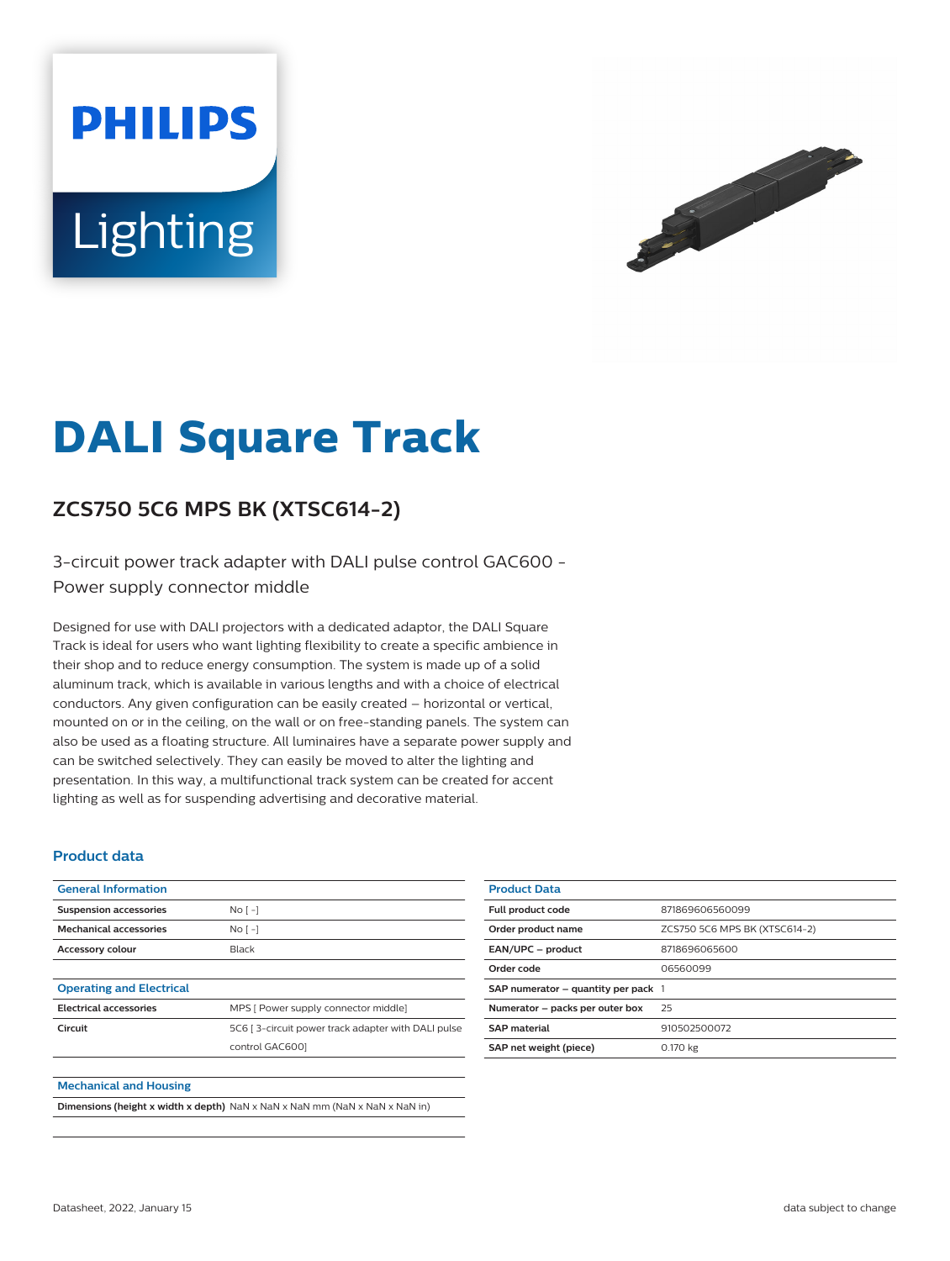# **PHILIPS** Lighting



# **DALI Square Track**

## **ZCS750 5C6 MPS BK (XTSC614-2)**

3-circuit power track adapter with DALI pulse control GAC600 - Power supply connector middle

Designed for use with DALI projectors with a dedicated adaptor, the DALI Square Track is ideal for users who want lighting flexibility to create a specific ambience in their shop and to reduce energy consumption. The system is made up of a solid aluminum track, which is available in various lengths and with a choice of electrical conductors. Any given configuration can be easily created – horizontal or vertical, mounted on or in the ceiling, on the wall or on free-standing panels. The system can also be used as a floating structure. All luminaires have a separate power supply and can be switched selectively. They can easily be moved to alter the lighting and presentation. In this way, a multifunctional track system can be created for accent lighting as well as for suspending advertising and decorative material.

#### **Product data**

| <b>General Information</b>      |                                                                                    |
|---------------------------------|------------------------------------------------------------------------------------|
| <b>Suspension accessories</b>   | $No$ [ -]                                                                          |
| <b>Mechanical accessories</b>   | $No$ [ -]                                                                          |
| <b>Accessory colour</b>         | <b>Black</b>                                                                       |
|                                 |                                                                                    |
| <b>Operating and Electrical</b> |                                                                                    |
| <b>Electrical accessories</b>   | MPS [ Power supply connector middle]                                               |
| Circuit                         | 5C6 [3-circuit power track adapter with DALI pulse                                 |
|                                 | control GAC6001                                                                    |
|                                 |                                                                                    |
| <b>Mechanical and Housing</b>   |                                                                                    |
|                                 | <b>Dimensions (height x width x depth)</b> NaN x NaN x NaN mm (NaN x NaN x NaN in) |

| <b>Product Data</b>                     |                               |
|-----------------------------------------|-------------------------------|
| <b>Full product code</b>                | 871869606560099               |
| Order product name                      | ZCS750 5C6 MPS BK (XTSC614-2) |
| EAN/UPC - product                       | 8718696065600                 |
| Order code                              | 06560099                      |
| SAP numerator $-$ quantity per pack $1$ |                               |
| Numerator - packs per outer box         | 25                            |
| <b>SAP</b> material                     | 910502500072                  |
| SAP net weight (piece)                  | 0.170 kg                      |
|                                         |                               |